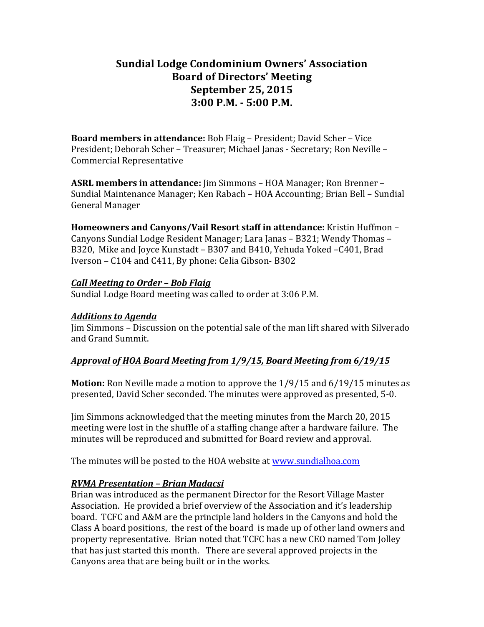# **Sundial Lodge Condominium Owners' Association Board of Directors' Meeting September 25, 2015 3:00 P.M. - 5:00 P.M.**

**Board members in attendance:** Bob Flaig – President; David Scher – Vice President; Deborah Scher – Treasurer; Michael Janas - Secretary; Ron Neville – Commercial Representative

**ASRL members in attendance:** Jim Simmons – HOA Manager; Ron Brenner – Sundial Maintenance Manager; Ken Rabach – HOA Accounting; Brian Bell – Sundial General Manager

**Homeowners and Canyons/Vail Resort staff in attendance:** Kristin Huffmon -Canyons Sundial Lodge Resident Manager; Lara Janas – B321; Wendy Thomas – B320, Mike and Joyce Kunstadt - B307 and B410, Yehuda Yoked -C401, Brad Iverson – C104 and C411, By phone: Celia Gibson- B302

#### *Call Meeting to Order – Bob Flaig*

Sundial Lodge Board meeting was called to order at 3:06 P.M.

#### Additions to Agenda

Jim Simmons - Discussion on the potential sale of the man lift shared with Silverado and Grand Summit.

## *Approval of HOA Board Meeting from 1/9/15, Board Meeting from 6/19/15*

**Motion:** Ron Neville made a motion to approve the 1/9/15 and 6/19/15 minutes as presented, David Scher seconded. The minutes were approved as presented, 5-0.

Jim Simmons acknowledged that the meeting minutes from the March 20, 2015 meeting were lost in the shuffle of a staffing change after a hardware failure. The minutes will be reproduced and submitted for Board review and approval.

The minutes will be posted to the HOA website at www.sundialhoa.com

## *RVMA Presentation – Brian Madacsi*

Brian was introduced as the permanent Director for the Resort Village Master Association. He provided a brief overview of the Association and it's leadership board. TCFC and A&M are the principle land holders in the Canyons and hold the Class A board positions, the rest of the board is made up of other land owners and property representative. Brian noted that TCFC has a new CEO named Tom Jolley that has just started this month. There are several approved projects in the Canyons area that are being built or in the works.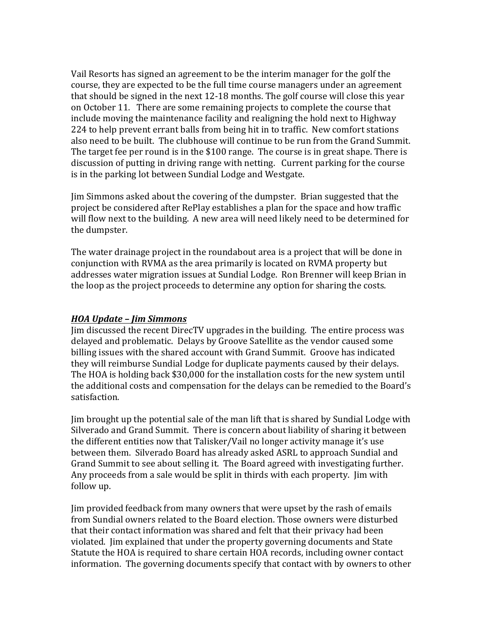Vail Resorts has signed an agreement to be the interim manager for the golf the course, they are expected to be the full time course managers under an agreement that should be signed in the next  $12-18$  months. The golf course will close this year on October 11. There are some remaining projects to complete the course that include moving the maintenance facility and realigning the hold next to Highway 224 to help prevent errant balls from being hit in to traffic. New comfort stations also need to be built. The clubhouse will continue to be run from the Grand Summit. The target fee per round is in the \$100 range. The course is in great shape. There is discussion of putting in driving range with netting. Current parking for the course is in the parking lot between Sundial Lodge and Westgate.

Jim Simmons asked about the covering of the dumpster. Brian suggested that the project be considered after RePlay establishes a plan for the space and how traffic will flow next to the building. A new area will need likely need to be determined for the dumpster.

The water drainage project in the roundabout area is a project that will be done in conjunction with RVMA as the area primarily is located on RVMA property but addresses water migration issues at Sundial Lodge. Ron Brenner will keep Brian in the loop as the project proceeds to determine any option for sharing the costs.

#### *HOA Update – Jim Simmons*

Iim discussed the recent DirecTV upgrades in the building. The entire process was delayed and problematic. Delays by Groove Satellite as the vendor caused some billing issues with the shared account with Grand Summit. Groove has indicated they will reimburse Sundial Lodge for duplicate payments caused by their delays. The HOA is holding back \$30,000 for the installation costs for the new system until the additional costs and compensation for the delays can be remedied to the Board's satisfaction. 

Jim brought up the potential sale of the man lift that is shared by Sundial Lodge with Silverado and Grand Summit. There is concern about liability of sharing it between the different entities now that Talisker/Vail no longer activity manage it's use between them. Silverado Board has already asked ASRL to approach Sundial and Grand Summit to see about selling it. The Board agreed with investigating further. Any proceeds from a sale would be split in thirds with each property. I im with follow up.

I lim provided feedback from many owners that were upset by the rash of emails from Sundial owners related to the Board election. Those owners were disturbed that their contact information was shared and felt that their privacy had been violated. I im explained that under the property governing documents and State Statute the HOA is required to share certain HOA records, including owner contact information. The governing documents specify that contact with by owners to other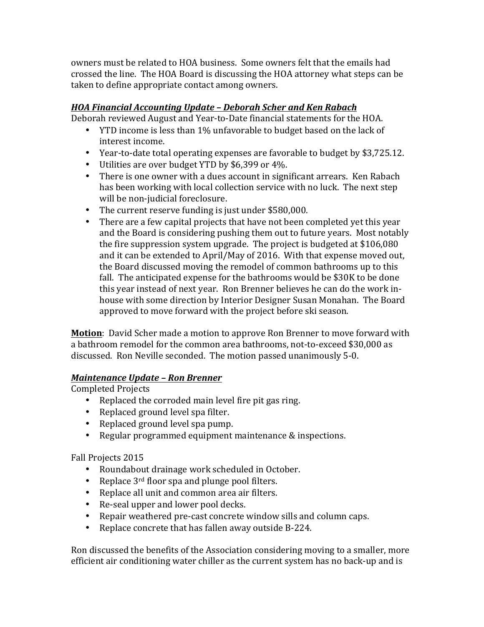owners must be related to HOA business. Some owners felt that the emails had crossed the line. The HOA Board is discussing the HOA attorney what steps can be taken to define appropriate contact among owners.

## *HOA Financial Accounting Update – Deborah Scher and Ken Rabach*

Deborah reviewed August and Year-to-Date financial statements for the HOA.

- YTD income is less than 1% unfavorable to budget based on the lack of interest income.
- Year-to-date total operating expenses are favorable to budget by  $$3,725.12$ .
- Utilities are over budget YTD by \$6,399 or 4%.
- There is one owner with a dues account in significant arrears. Ken Rabach has been working with local collection service with no luck. The next step will be non-judicial foreclosure.
- The current reserve funding is just under \$580,000.
- There are a few capital projects that have not been completed yet this year and the Board is considering pushing them out to future years. Most notably the fire suppression system upgrade. The project is budgeted at  $$106,080$ and it can be extended to April/May of 2016. With that expense moved out, the Board discussed moving the remodel of common bathrooms up to this fall. The anticipated expense for the bathrooms would be \$30K to be done this year instead of next year. Ron Brenner believes he can do the work inhouse with some direction by Interior Designer Susan Monahan. The Board approved to move forward with the project before ski season.

**Motion**: David Scher made a motion to approve Ron Brenner to move forward with a bathroom remodel for the common area bathrooms, not-to-exceed \$30,000 as discussed. Ron Neville seconded. The motion passed unanimously 5-0.

## *Maintenance Update – Ron Brenner*

Completed Projects

- Replaced the corroded main level fire pit gas ring.
- Replaced ground level spa filter.
- Replaced ground level spa pump.
- Regular programmed equipment maintenance & inspections.

Fall Projects 2015

- Roundabout drainage work scheduled in October.
- Replace  $3^{rd}$  floor spa and plunge pool filters.
- Replace all unit and common area air filters.
- Re-seal upper and lower pool decks.
- Repair weathered pre-cast concrete window sills and column caps.
- Replace concrete that has fallen away outside B-224.

Ron discussed the benefits of the Association considering moving to a smaller, more efficient air conditioning water chiller as the current system has no back-up and is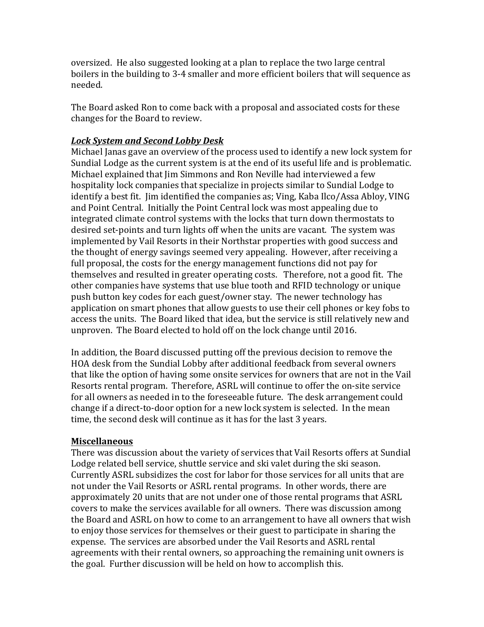oversized. He also suggested looking at a plan to replace the two large central boilers in the building to 3-4 smaller and more efficient boilers that will sequence as needed.

The Board asked Ron to come back with a proposal and associated costs for these changes for the Board to review.

### *Lock System and Second Lobby Desk*

Michael Janas gave an overview of the process used to identify a new lock system for Sundial Lodge as the current system is at the end of its useful life and is problematic. Michael explained that Jim Simmons and Ron Neville had interviewed a few hospitality lock companies that specialize in projects similar to Sundial Lodge to identify a best fit. Jim identified the companies as; Ving, Kaba Ilco/Assa Abloy, VING and Point Central. Initially the Point Central lock was most appealing due to integrated climate control systems with the locks that turn down thermostats to desired set-points and turn lights off when the units are vacant. The system was implemented by Vail Resorts in their Northstar properties with good success and the thought of energy savings seemed very appealing. However, after receiving a full proposal, the costs for the energy management functions did not pay for themselves and resulted in greater operating costs. Therefore, not a good fit. The other companies have systems that use blue tooth and RFID technology or unique push button key codes for each guest/owner stay. The newer technology has application on smart phones that allow guests to use their cell phones or key fobs to access the units. The Board liked that idea, but the service is still relatively new and unproven. The Board elected to hold off on the lock change until 2016.

In addition, the Board discussed putting off the previous decision to remove the HOA desk from the Sundial Lobby after additional feedback from several owners that like the option of having some onsite services for owners that are not in the Vail Resorts rental program. Therefore, ASRL will continue to offer the on-site service for all owners as needed in to the foreseeable future. The desk arrangement could change if a direct-to-door option for a new lock system is selected. In the mean time, the second desk will continue as it has for the last 3 years.

#### **Miscellaneous**

There was discussion about the variety of services that Vail Resorts offers at Sundial Lodge related bell service, shuttle service and ski valet during the ski season. Currently ASRL subsidizes the cost for labor for those services for all units that are not under the Vail Resorts or ASRL rental programs. In other words, there are approximately 20 units that are not under one of those rental programs that ASRL covers to make the services available for all owners. There was discussion among the Board and ASRL on how to come to an arrangement to have all owners that wish to enjoy those services for themselves or their guest to participate in sharing the expense. The services are absorbed under the Vail Resorts and ASRL rental agreements with their rental owners, so approaching the remaining unit owners is the goal. Further discussion will be held on how to accomplish this.